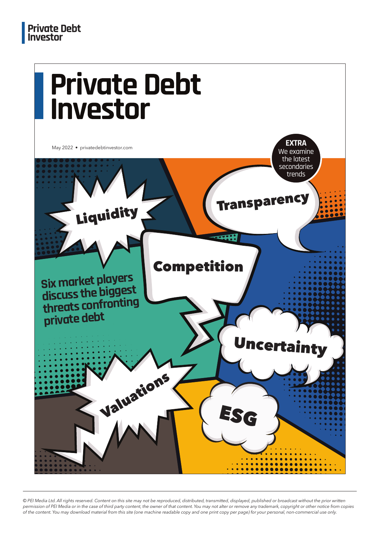

*© PEI Media Ltd. All rights reserved. Content on this site may not be reproduced, distributed, transmitted, displayed, published or broadcast without the prior written permission of PEI Media or in the case of third party content, the owner of that content. You may not alter or remove any trademark, copyright or other notice from copies of the content. You may download material from this site (one machine readable copy and one print copy per page) for your personal, non-commercial use only.*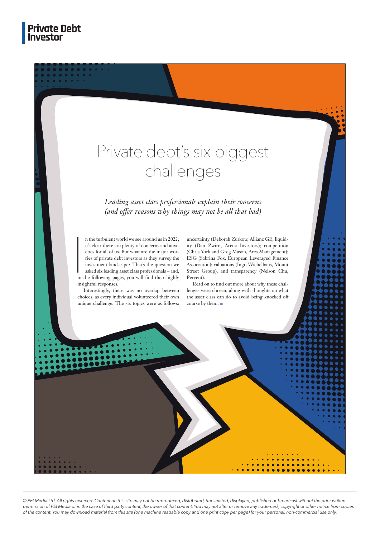## Private debt's six biggest challenges

*Leading asset class professionals explain their concerns*  (and offer reasons why things may not be all that bad)

 $\begin{bmatrix} 1 \\ 1 \\ 1 \\ 1 \end{bmatrix}$ n the turbulent world we see around us in 2022, it's clear there are plenty of concerns and anxieties for all of us. But what are the major worries of private debt investors as they survey the investment landscape? That's the question we asked six leading asset class professionals – and, in the following pages, you will find their highly insightful responses.

Interestingly, there was no overlap between choices, as every individual volunteered their own unique challenge. The six topics were as follows: uncertainty (Deborah Zurkow, Allianz GI); liquidity (Dan Zwirn, Arena Investors); competition (Chris York and Greg Mason, Ares Management); ESG (Sabrina Fox, European Leveraged Finance Association); valuations (Ingo Wichelhaus, Mount Street Group); and transparency (Nelson Chu, Percent).

Read on to find out more about why these challenges were chosen, along with thoughts on what the asset class can do to avoid being knocked off course by them.

*© PEI Media Ltd. All rights reserved. Content on this site may not be reproduced, distributed, transmitted, displayed, published or broadcast without the prior written permission of PEI Media or in the case of third party content, the owner of that content. You may not alter or remove any trademark, copyright or other notice from copies of the content. You may download material from this site (one machine readable copy and one print copy per page) for your personal, non-commercial use only.*